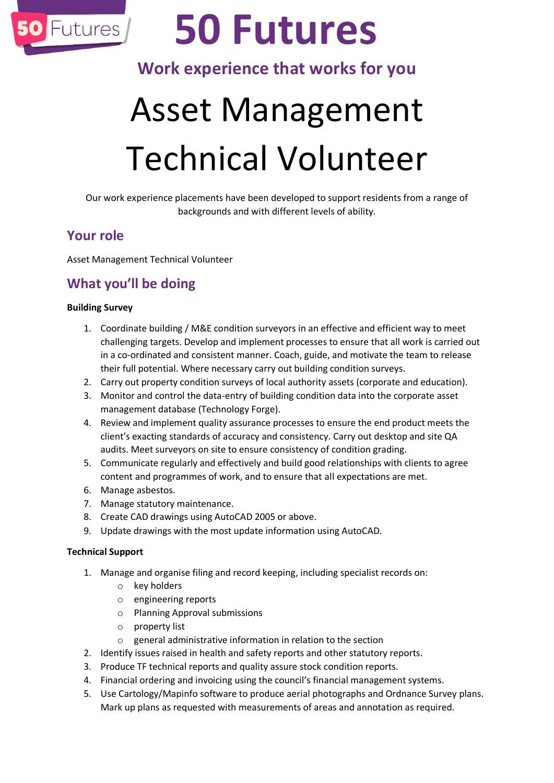

# **50 Futures**

# **Work experience that works for you**

# Asset Management Technical Volunteer

Our work experience placements have been developed to support residents from a range of backgrounds and with different levels of ability.

## **Your role**

Asset Management Technical Volunteer

## **What you'll be doing**

#### **Building Survey**

- 1. Coordinate building / M&E condition surveyors in an effective and efficient way to meet challenging targets. Develop and implement processes to ensure that all work is carried out in a co-ordinated and consistent manner. Coach, guide, and motivate the team to release their full potential. Where necessary carry out building condition surveys.
- 2. Carry out property condition surveys of local authority assets (corporate and education).
- 3. Monitor and control the data-entry of building condition data into the corporate asset management database (Technology Forge).
- 4. Review and implement quality assurance processes to ensure the end product meets the client's exacting standards of accuracy and consistency. Carry out desktop and site QA audits. Meet surveyors on site to ensure consistency of condition grading.
- 5. Communicate regularly and effectively and build good relationships with clients to agree content and programmes of work, and to ensure that all expectations are met.
- 6. Manage asbestos.
- 7. Manage statutory maintenance.
- 8. Create CAD drawings using AutoCAD 2005 or above.
- 9. Update drawings with the most update information using AutoCAD.

#### **Technical Support**

- 1. Manage and organise filing and record keeping, including specialist records on:
	- o key holders
	- o engineering reports
	- o Planning Approval submissions
	- o property list
	- o general administrative information in relation to the section
- 2. Identify issues raised in health and safety reports and other statutory reports.
- 3. Produce TF technical reports and quality assure stock condition reports.
- 4. Financial ordering and invoicing using the council's financial management systems.
- 5. Use Cartology/Mapinfo software to produce aerial photographs and Ordnance Survey plans. Mark up plans as requested with measurements of areas and annotation as required.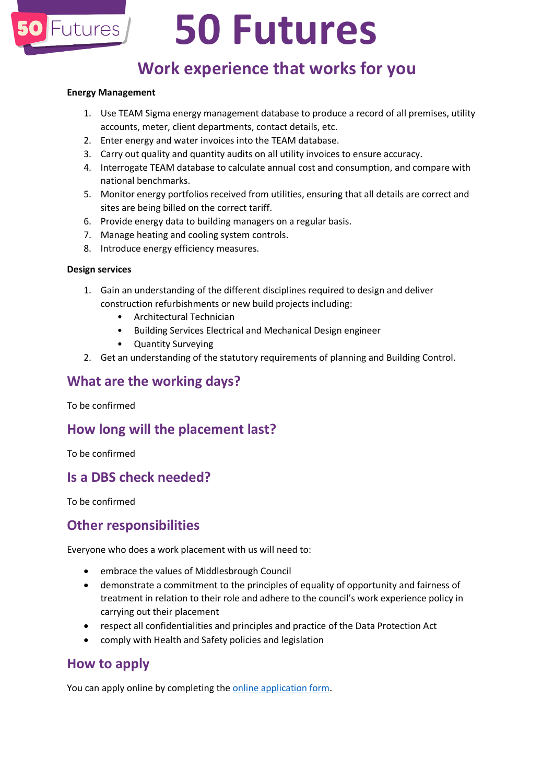

# **50 Futures**

## **Work experience that works for you**

#### **Energy Management**

- 1. Use TEAM Sigma energy management database to produce a record of all premises, utility accounts, meter, client departments, contact details, etc.
- 2. Enter energy and water invoices into the TEAM database.
- 3. Carry out quality and quantity audits on all utility invoices to ensure accuracy.
- 4. Interrogate TEAM database to calculate annual cost and consumption, and compare with national benchmarks.
- 5. Monitor energy portfolios received from utilities, ensuring that all details are correct and sites are being billed on the correct tariff.
- 6. Provide energy data to building managers on a regular basis.
- 7. Manage heating and cooling system controls.
- 8. Introduce energy efficiency measures.

#### **Design services**

- 1. Gain an understanding of the different disciplines required to design and deliver construction refurbishments or new build projects including:
	- Architectural Technician
	- Building Services Electrical and Mechanical Design engineer
	- Quantity Surveying
- 2. Get an understanding of the statutory requirements of planning and Building Control.

### **What are the working days?**

To be confirmed

### **How long will the placement last?**

To be confirmed

### **Is a DBS check needed?**

To be confirmed

### **Other responsibilities**

Everyone who does a work placement with us will need to:

- embrace the values of Middlesbrough Council
- demonstrate a commitment to the principles of equality of opportunity and fairness of treatment in relation to their role and adhere to the council's work experience policy in carrying out their placement
- respect all confidentialities and principles and practice of the Data Protection Act
- comply with Health and Safety policies and legislation

## **How to apply**

You can apply online by completing the [online application form.](https://my.middlesbrough.gov.uk/service/Work_Experience_Expression_of_Interest_Form_Process)